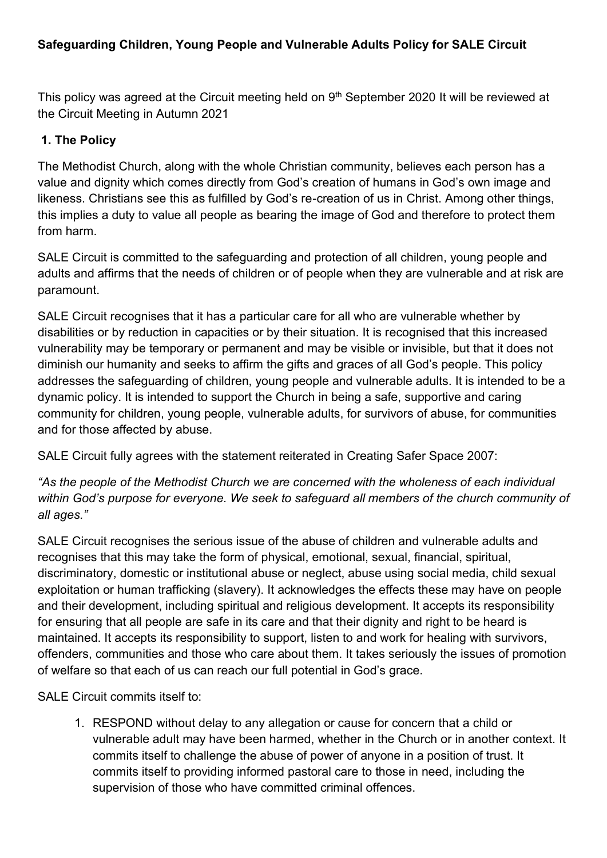This policy was agreed at the Circuit meeting held on 9<sup>th</sup> September 2020 It will be reviewed at the Circuit Meeting in Autumn 2021

### **1. The Policy**

The Methodist Church, along with the whole Christian community, believes each person has a value and dignity which comes directly from God's creation of humans in God's own image and likeness. Christians see this as fulfilled by God's re-creation of us in Christ. Among other things, this implies a duty to value all people as bearing the image of God and therefore to protect them from harm.

SALE Circuit is committed to the safeguarding and protection of all children, young people and adults and affirms that the needs of children or of people when they are vulnerable and at risk are paramount.

SALE Circuit recognises that it has a particular care for all who are vulnerable whether by disabilities or by reduction in capacities or by their situation. It is recognised that this increased vulnerability may be temporary or permanent and may be visible or invisible, but that it does not diminish our humanity and seeks to affirm the gifts and graces of all God's people. This policy addresses the safeguarding of children, young people and vulnerable adults. It is intended to be a dynamic policy. It is intended to support the Church in being a safe, supportive and caring community for children, young people, vulnerable adults, for survivors of abuse, for communities and for those affected by abuse.

SALE Circuit fully agrees with the statement reiterated in Creating Safer Space 2007:

*"As the people of the Methodist Church we are concerned with the wholeness of each individual within God's purpose for everyone. We seek to safeguard all members of the church community of all ages."* 

SALE Circuit recognises the serious issue of the abuse of children and vulnerable adults and recognises that this may take the form of physical, emotional, sexual, financial, spiritual, discriminatory, domestic or institutional abuse or neglect, abuse using social media, child sexual exploitation or human trafficking (slavery). It acknowledges the effects these may have on people and their development, including spiritual and religious development. It accepts its responsibility for ensuring that all people are safe in its care and that their dignity and right to be heard is maintained. It accepts its responsibility to support, listen to and work for healing with survivors, offenders, communities and those who care about them. It takes seriously the issues of promotion of welfare so that each of us can reach our full potential in God's grace.

SALE Circuit commits itself to:

1. RESPOND without delay to any allegation or cause for concern that a child or vulnerable adult may have been harmed, whether in the Church or in another context. It commits itself to challenge the abuse of power of anyone in a position of trust. It commits itself to providing informed pastoral care to those in need, including the supervision of those who have committed criminal offences.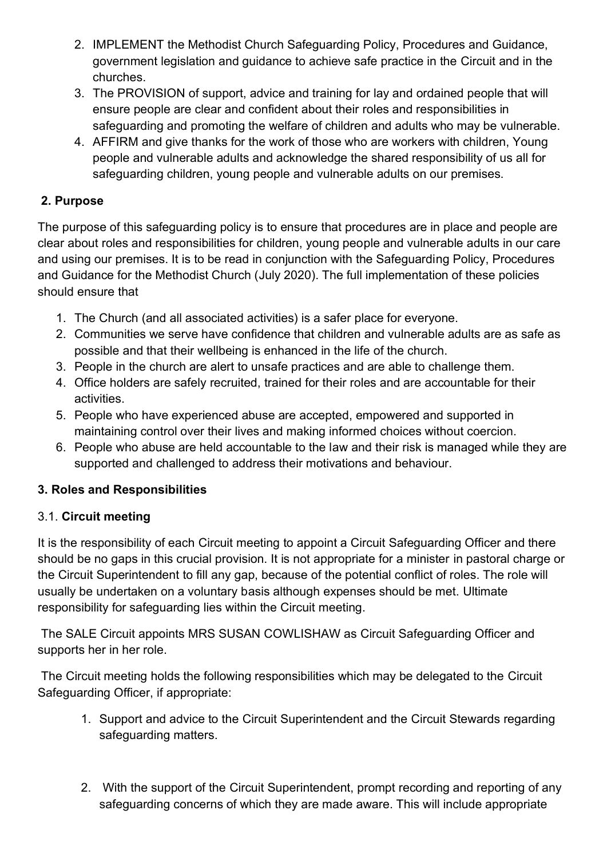- 2. IMPLEMENT the Methodist Church Safeguarding Policy, Procedures and Guidance, government legislation and guidance to achieve safe practice in the Circuit and in the churches.
- 3. The PROVISION of support, advice and training for lay and ordained people that will ensure people are clear and confident about their roles and responsibilities in safeguarding and promoting the welfare of children and adults who may be vulnerable.
- 4. AFFIRM and give thanks for the work of those who are workers with children, Young people and vulnerable adults and acknowledge the shared responsibility of us all for safeguarding children, young people and vulnerable adults on our premises.

## **2. Purpose**

The purpose of this safeguarding policy is to ensure that procedures are in place and people are clear about roles and responsibilities for children, young people and vulnerable adults in our care and using our premises. It is to be read in conjunction with the Safeguarding Policy, Procedures and Guidance for the Methodist Church (July 2020). The full implementation of these policies should ensure that

- 1. The Church (and all associated activities) is a safer place for everyone.
- 2. Communities we serve have confidence that children and vulnerable adults are as safe as possible and that their wellbeing is enhanced in the life of the church.
- 3. People in the church are alert to unsafe practices and are able to challenge them.
- 4. Office holders are safely recruited, trained for their roles and are accountable for their activities.
- 5. People who have experienced abuse are accepted, empowered and supported in maintaining control over their lives and making informed choices without coercion.
- 6. People who abuse are held accountable to the law and their risk is managed while they are supported and challenged to address their motivations and behaviour.

## **3. Roles and Responsibilities**

## 3.1. **Circuit meeting**

It is the responsibility of each Circuit meeting to appoint a Circuit Safeguarding Officer and there should be no gaps in this crucial provision. It is not appropriate for a minister in pastoral charge or the Circuit Superintendent to fill any gap, because of the potential conflict of roles. The role will usually be undertaken on a voluntary basis although expenses should be met. Ultimate responsibility for safeguarding lies within the Circuit meeting.

The SALE Circuit appoints MRS SUSAN COWLISHAW as Circuit Safeguarding Officer and supports her in her role.

The Circuit meeting holds the following responsibilities which may be delegated to the Circuit Safeguarding Officer, if appropriate:

- 1. Support and advice to the Circuit Superintendent and the Circuit Stewards regarding safeguarding matters.
- 2. With the support of the Circuit Superintendent, prompt recording and reporting of any safeguarding concerns of which they are made aware. This will include appropriate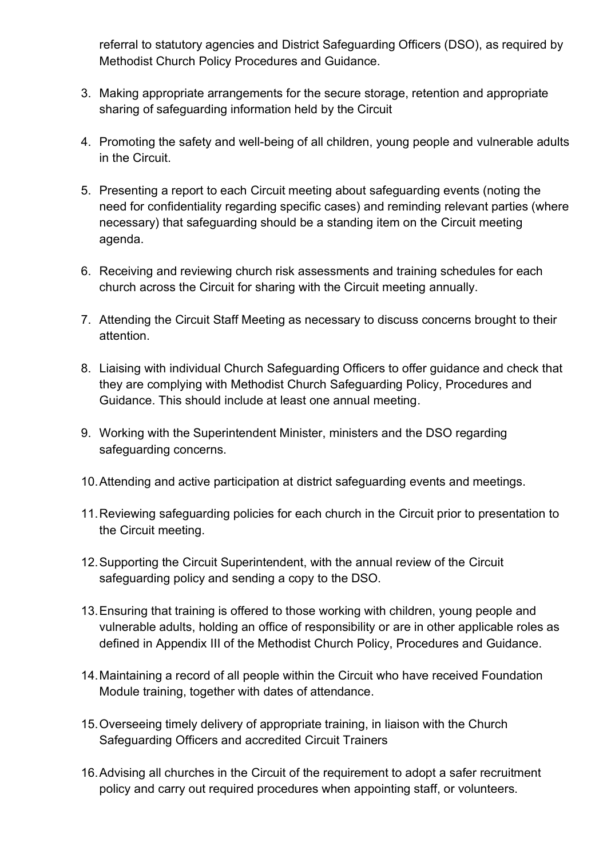referral to statutory agencies and District Safeguarding Officers (DSO), as required by Methodist Church Policy Procedures and Guidance.

- 3. Making appropriate arrangements for the secure storage, retention and appropriate sharing of safeguarding information held by the Circuit
- 4. Promoting the safety and well-being of all children, young people and vulnerable adults in the Circuit.
- 5. Presenting a report to each Circuit meeting about safeguarding events (noting the need for confidentiality regarding specific cases) and reminding relevant parties (where necessary) that safeguarding should be a standing item on the Circuit meeting agenda.
- 6. Receiving and reviewing church risk assessments and training schedules for each church across the Circuit for sharing with the Circuit meeting annually.
- 7. Attending the Circuit Staff Meeting as necessary to discuss concerns brought to their attention.
- 8. Liaising with individual Church Safeguarding Officers to offer guidance and check that they are complying with Methodist Church Safeguarding Policy, Procedures and Guidance. This should include at least one annual meeting.
- 9. Working with the Superintendent Minister, ministers and the DSO regarding safeguarding concerns.
- 10.Attending and active participation at district safeguarding events and meetings.
- 11.Reviewing safeguarding policies for each church in the Circuit prior to presentation to the Circuit meeting.
- 12.Supporting the Circuit Superintendent, with the annual review of the Circuit safeguarding policy and sending a copy to the DSO.
- 13.Ensuring that training is offered to those working with children, young people and vulnerable adults, holding an office of responsibility or are in other applicable roles as defined in Appendix III of the Methodist Church Policy, Procedures and Guidance.
- 14.Maintaining a record of all people within the Circuit who have received Foundation Module training, together with dates of attendance.
- 15.Overseeing timely delivery of appropriate training, in liaison with the Church Safeguarding Officers and accredited Circuit Trainers
- 16.Advising all churches in the Circuit of the requirement to adopt a safer recruitment policy and carry out required procedures when appointing staff, or volunteers.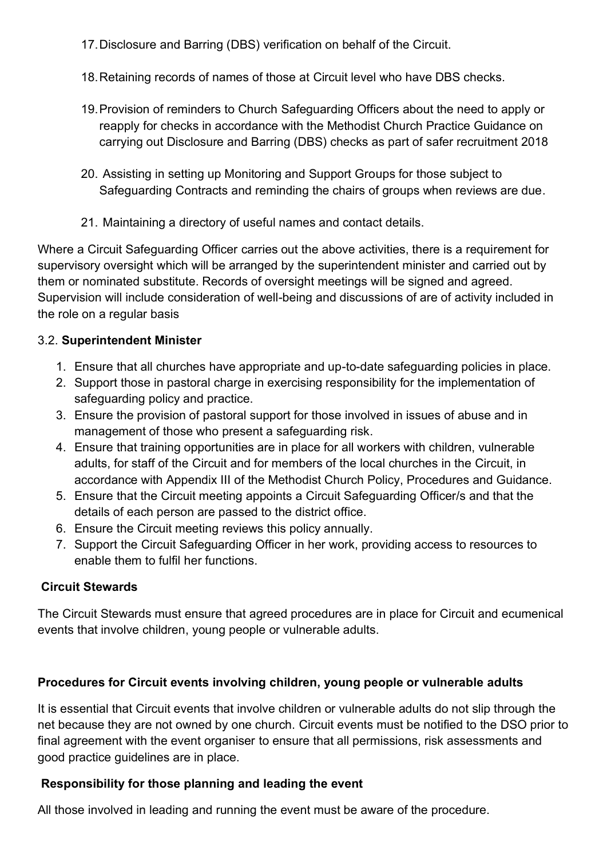17.Disclosure and Barring (DBS) verification on behalf of the Circuit.

- 18.Retaining records of names of those at Circuit level who have DBS checks.
- 19.Provision of reminders to Church Safeguarding Officers about the need to apply or reapply for checks in accordance with the Methodist Church Practice Guidance on carrying out Disclosure and Barring (DBS) checks as part of safer recruitment 2018
- 20. Assisting in setting up Monitoring and Support Groups for those subject to Safeguarding Contracts and reminding the chairs of groups when reviews are due.
- 21. Maintaining a directory of useful names and contact details.

Where a Circuit Safeguarding Officer carries out the above activities, there is a requirement for supervisory oversight which will be arranged by the superintendent minister and carried out by them or nominated substitute. Records of oversight meetings will be signed and agreed. Supervision will include consideration of well-being and discussions of are of activity included in the role on a regular basis

## 3.2. **Superintendent Minister**

- 1. Ensure that all churches have appropriate and up-to-date safeguarding policies in place.
- 2. Support those in pastoral charge in exercising responsibility for the implementation of safeguarding policy and practice.
- 3. Ensure the provision of pastoral support for those involved in issues of abuse and in management of those who present a safeguarding risk.
- 4. Ensure that training opportunities are in place for all workers with children, vulnerable adults, for staff of the Circuit and for members of the local churches in the Circuit, in accordance with Appendix III of the Methodist Church Policy, Procedures and Guidance.
- 5. Ensure that the Circuit meeting appoints a Circuit Safeguarding Officer/s and that the details of each person are passed to the district office.
- 6. Ensure the Circuit meeting reviews this policy annually.
- 7. Support the Circuit Safeguarding Officer in her work, providing access to resources to enable them to fulfil her functions.

# **Circuit Stewards**

The Circuit Stewards must ensure that agreed procedures are in place for Circuit and ecumenical events that involve children, young people or vulnerable adults.

# **Procedures for Circuit events involving children, young people or vulnerable adults**

It is essential that Circuit events that involve children or vulnerable adults do not slip through the net because they are not owned by one church. Circuit events must be notified to the DSO prior to final agreement with the event organiser to ensure that all permissions, risk assessments and good practice guidelines are in place.

# **Responsibility for those planning and leading the event**

All those involved in leading and running the event must be aware of the procedure.